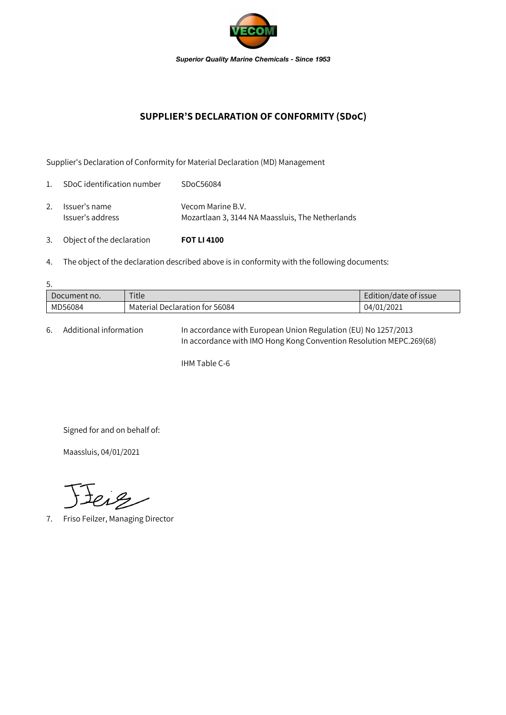

## **SUPPLIER'S DECLARATION OF CONFORMITY (SDoC)**

Supplier's Declaration of Conformity for Material Declaration (MD) Management

| 3.             | Object of the declaration         | <b>FOT LI 4100</b>                                                    |
|----------------|-----------------------------------|-----------------------------------------------------------------------|
| 2.             | Issuer's name<br>Issuer's address | Vecom Marine B.V.<br>Mozartlaan 3, 3144 NA Maassluis, The Netherlands |
| $\mathbf{1}$ . | SDoC identification number        | SDoC56084                                                             |

4. The object of the declaration described above is in conformity with the following documents:

| 5.           |                                |                       |  |  |  |  |
|--------------|--------------------------------|-----------------------|--|--|--|--|
| Document no. | Title                          | Edition/date of issue |  |  |  |  |
| MD56084      | Material Declaration for 56084 | 04/01/2021            |  |  |  |  |

6. Additional information In accordance with European Union Regulation (EU) No 1257/2013 In accordance with IMO Hong Kong Convention Resolution MEPC.269(68)

IHM Table C-6

Signed for and on behalf of:

Maassluis, 04/01/2021

teig

7. Friso Feilzer, Managing Director